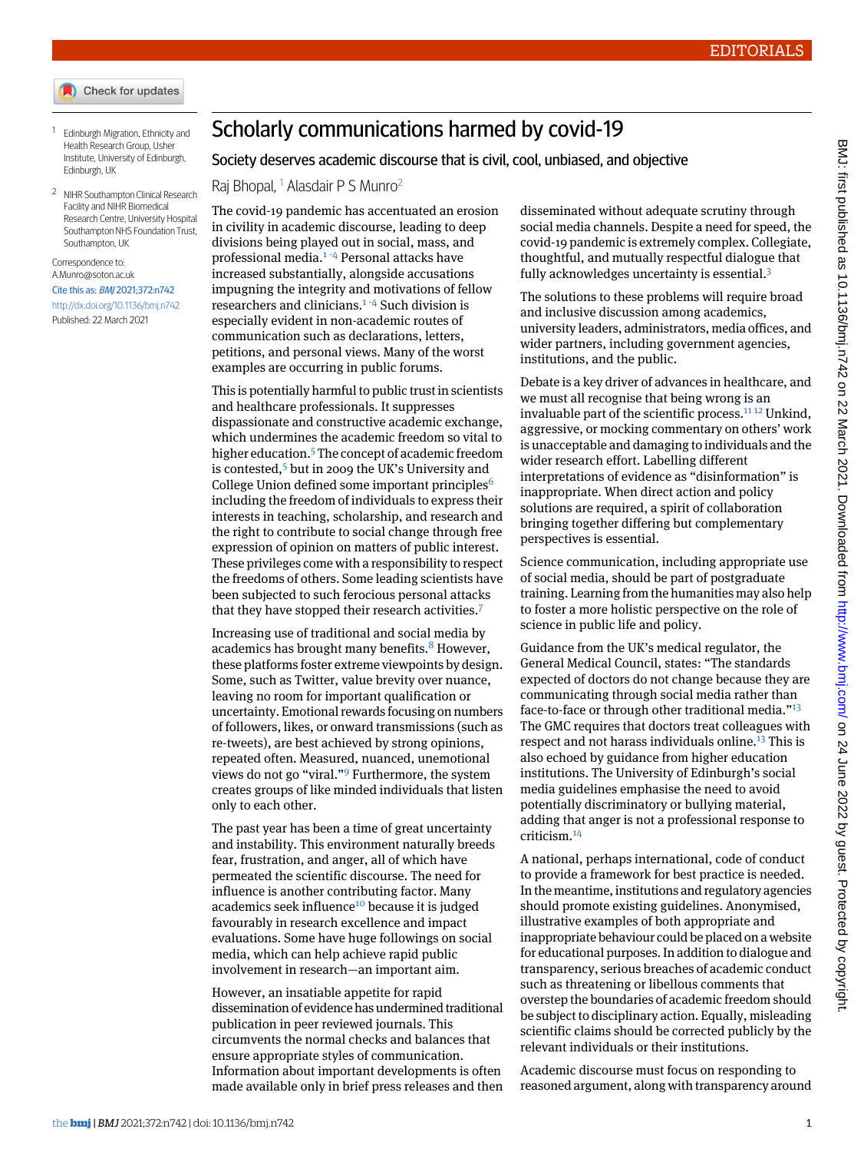- <span id="page-0-0"></span>1 Edinburgh Migration, Ethnicity and Health Research Group, Usher Institute, University of Edinburgh, Edinburgh, UK
- <span id="page-0-1"></span><sup>2</sup> NIHR Southampton Clinical Research Facility and NIHR Biomedical Research Centre, University Hospital Southampton NHS Foundation Trust, Southampton, UK

#### Correspondence to: [A.Munro@soton.ac.uk](mailto:A.Munro@soton.ac.uk)

### Cite this as: BMJ 2021;372:n742

<http://dx.doi.org/10.1136/bmj.n742> Published: 22 March 2021

# Scholarly communications harmed by covid-19

# Society deserves academic discourse that is civil, cool, unbiased, and objective

Raj Bhopal, <sup>[1](#page-0-0)</sup> Alasdair P S Munro<sup>[2](#page-0-1)</sup>

The covid-19 pandemic has accentuated an erosion in civility in academic discourse, leading to deep divisions being played out in social, mass, and professional media.[1](#page-1-0) [-](#page-1-1)[4](#page-1-2) Personal attacks have increased substantially, alongside accusations impugning the integrity and motivations of fellow researchers and clinicians.[1](#page-1-0) [-](#page-1-1)[4](#page-1-2) Such division is especially evident in non-academic routes of communication such as declarations, letters, petitions, and personal views. Many of the worst examples are occurring in public forums.

This is potentially harmful to public trust in scientists and healthcare professionals. It suppresses dispassionate and constructive academic exchange, which undermines the academic freedom so vital to higher education.<sup>[5](#page-1-3)</sup> The concept of academic freedom is contested,<sup>[5](#page-1-3)</sup> but in 2009 the UK's University and College Union defined some important principles<sup>[6](#page-1-4)</sup> including the freedom of individuals to express their interests in teaching, scholarship, and research and the right to contribute to social change through free expression of opinion on matters of public interest. These privileges come with a responsibility to respect the freedoms of others. Some leading scientists have been subjected to such ferocious personal attacks that they have stopped their research activities.[7](#page-1-5)

Increasing use of traditional and social media by academics has brought many benefits.<sup>[8](#page-1-6)</sup> However, these platforms foster extreme viewpoints by design. Some, such as Twitter, value brevity over nuance, leaving no room for important qualification or uncertainty. Emotional rewards focusing on numbers of followers, likes, or onward transmissions (such as re-tweets), are best achieved by strong opinions, repeated often. Measured, nuanced, unemotional views do not go "viral."<sup>[9](#page-1-7)</sup> Furthermore, the system creates groups of like minded individuals that listen only to each other.

The past year has been a time of great uncertainty and instability. This environment naturally breeds fear, frustration, and anger, all of which have permeated the scientific discourse. The need for influence is another contributing factor. Many academics seek influence<sup>[10](#page-1-8)</sup> because it is judged favourably in research excellence and impact evaluations. Some have huge followings on social media, which can help achieve rapid public involvement in research—an important aim.

However, an insatiable appetite for rapid dissemination of evidence has undermined traditional publication in peer reviewed journals. This circumvents the normal checks and balances that ensure appropriate styles of communication. Information about important developments is often made available only in brief press releases and then

disseminated without adequate scrutiny through social media channels. Despite a need for speed, the covid-19 pandemic is extremely complex. Collegiate, thoughtful, and mutually respectful dialogue that fully acknowledges uncertainty is essential.<sup>[3](#page-1-9)</sup>

The solutions to these problems will require broad and inclusive discussion among academics, university leaders, administrators, media offices, and wider partners, including government agencies, institutions, and the public.

Debate is a key driver of advances in healthcare, and we must all recognise that being wrong is an invaluable part of the scientific process.<sup>[11](#page-1-10) [12](#page-1-11)</sup> Unkind, aggressive, or mocking commentary on others' work is unacceptable and damaging to individuals and the wider research effort. Labelling different interpretations of evidence as "disinformation" is inappropriate. When direct action and policy solutions are required, a spirit of collaboration bringing together differing but complementary perspectives is essential.

Science communication, including appropriate use of social media, should be part of postgraduate training. Learning from the humanities may also help to foster a more holistic perspective on the role of science in public life and policy.

Guidance from the UK's medical regulator, the General Medical Council, states: "The standards expected of doctors do not change because they are communicating through social media rather than face-to-face or through other traditional media."<sup>[13](#page-1-12)</sup> The GMC requires that doctors treat colleagues with respect and not harass individuals online.<sup>[13](#page-1-12)</sup> This is also echoed by guidance from higher education institutions. The University of Edinburgh's social media guidelines emphasise the need to avoid potentially discriminatory or bullying material, adding that anger is not a professional response to criticism.[14](#page-1-13)

A national, perhaps international, code of conduct to provide a framework for best practice is needed. In the meantime, institutions and regulatory agencies should promote existing guidelines. Anonymised, illustrative examples of both appropriate and inappropriate behaviour could be placed on a website for educational purposes. In addition to dialogue and transparency, serious breaches of academic conduct such as threatening or libellous comments that overstep the boundaries of academic freedom should be subject to disciplinary action. Equally, misleading scientific claims should be corrected publicly by the relevant individuals or their institutions.

Academic discourse must focus on responding to reasoned argument, along with transparency around